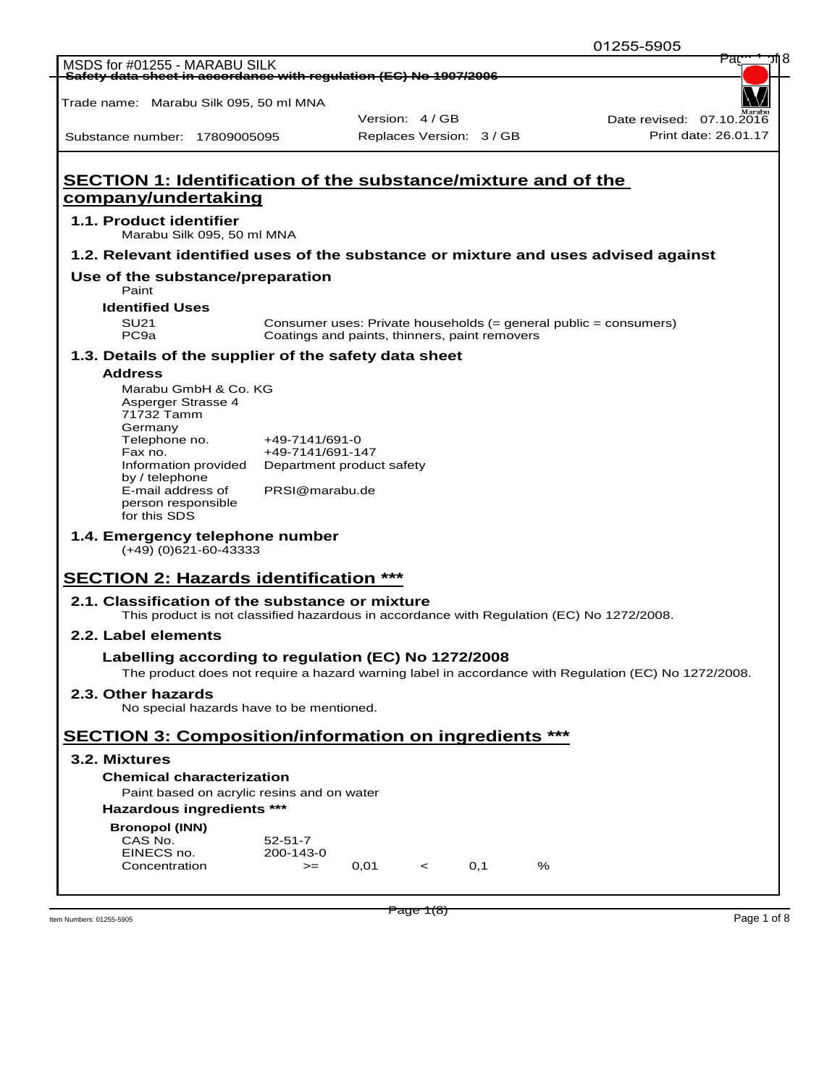Trade name: Marabu Silk 095, 50 ml MNA

Substance number: 17809005095

Version: 4 / GB

Replaces Version: 3 / GB Print date: 26.01.17 Date revised: 07.10.201

## **SECTION 1: Identification of the substance/mixture and of the company/undertaking 1.1. Product identifier** Marabu Silk 095, 50 ml MNA **1.2. Relevant identified uses of the substance or mixture and uses advised against Use of the substance/preparation** Paint **Identified Uses** SU21 Consumer uses: Private households (= general public = consumers) PC9a Coatings and paints, thinners, paint removers **1.3. Details of the supplier of the safety data sheet Address** Marabu GmbH & Co. KG Asperger Strasse 4 71732 Tamm Germany<br>Telephone no. Telephone no.  $+49-7141/691-0$ <br>Fax no.  $+49-7141/691-1$ +49-7141/691-147 Information provided Department product safety by / telephone E-mail address of person responsible for this SDS PRSI@marabu.de **1.4. Emergency telephone number** (+49) (0)621-60-43333 **SECTION 2: Hazards identification \*\*\* 2.1. Classification of the substance or mixture** This product is not classified hazardous in accordance with Regulation (EC) No 1272/2008. **2.2. Label elements Labelling according to regulation (EC) No 1272/2008** The product does not require a hazard warning label in accordance with Regulation (EC) No 1272/2008. **2.3. Other hazards** No special hazards have to be mentioned. **SECTION 3: Composition/information on ingredients \*\*\* 3.2. Mixtures Chemical characterization** Paint based on acrylic resins and on water **Hazardous ingredients \*\*\* Bronopol (INN)** CAS No. 52-51-7 EINECS no. 200-143-0  $\text{Concentration}$   $\text{>=}$  0,01 < 0,1 %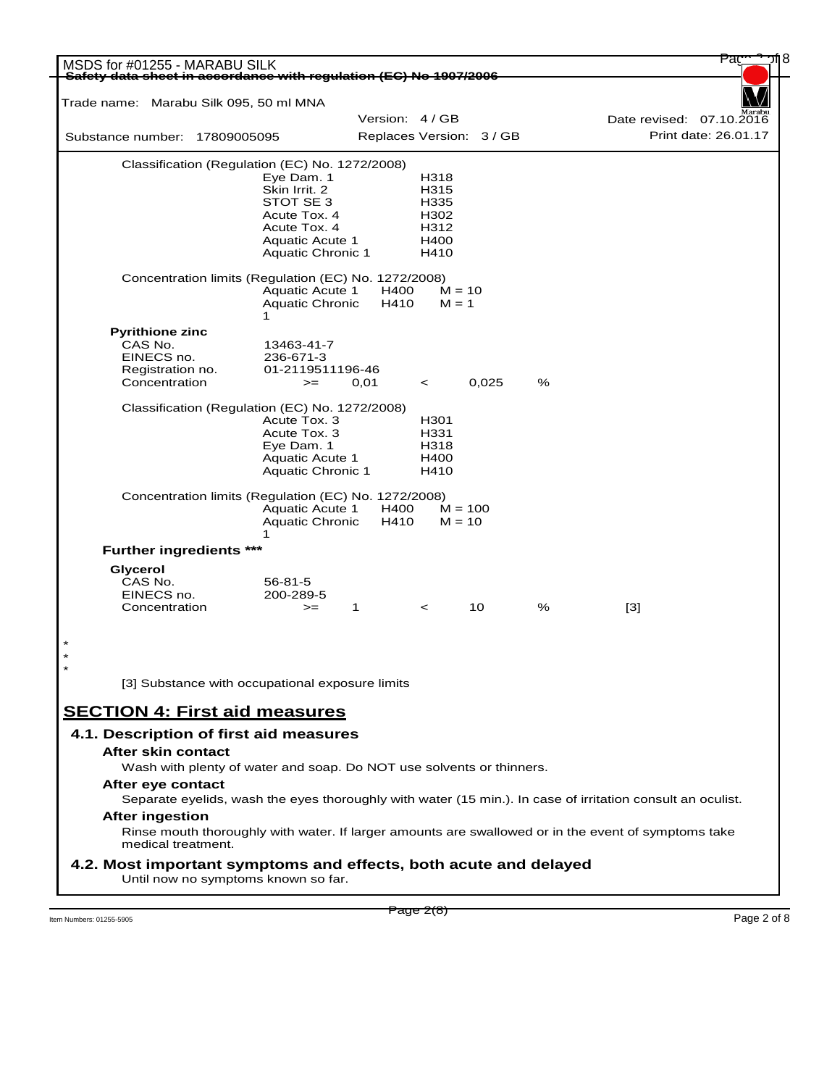|                                | MSDS for #01255 - MARABU SILK<br>Safety data sheet in accordance with regulation (EC) No 1907/2006         |                                           |                 |          |                          |   |       |                          |
|--------------------------------|------------------------------------------------------------------------------------------------------------|-------------------------------------------|-----------------|----------|--------------------------|---|-------|--------------------------|
|                                | Trade name: Marabu Silk 095, 50 ml MNA                                                                     |                                           |                 |          |                          |   |       |                          |
|                                |                                                                                                            |                                           | Version: 4 / GB |          |                          |   |       | Date revised: 07.10.2016 |
| Substance number: 17809005095  |                                                                                                            |                                           |                 |          | Replaces Version: 3 / GB |   |       | Print date: 26.01.17     |
|                                | Classification (Regulation (EC) No. 1272/2008)                                                             |                                           |                 |          |                          |   |       |                          |
|                                |                                                                                                            | Eye Dam. 1                                |                 | H318     |                          |   |       |                          |
|                                |                                                                                                            | Skin Irrit. 2                             |                 | H315     |                          |   |       |                          |
|                                |                                                                                                            | STOT SE 3                                 |                 | H335     |                          |   |       |                          |
|                                |                                                                                                            | Acute Tox. 4                              |                 | H302     |                          |   |       |                          |
|                                |                                                                                                            | Acute Tox. 4                              |                 | H312     |                          |   |       |                          |
|                                |                                                                                                            | <b>Aquatic Acute 1</b>                    |                 | H400     |                          |   |       |                          |
|                                |                                                                                                            | <b>Aquatic Chronic 1</b>                  |                 | H410     |                          |   |       |                          |
|                                | Concentration limits (Regulation (EC) No. 1272/2008)                                                       |                                           |                 |          |                          |   |       |                          |
|                                |                                                                                                            | <b>Aquatic Acute 1</b>                    | H400            | $M = 10$ |                          |   |       |                          |
|                                |                                                                                                            | <b>Aquatic Chronic</b>                    | H410            | $M = 1$  |                          |   |       |                          |
|                                | 1                                                                                                          |                                           |                 |          |                          |   |       |                          |
| <b>Pyrithione zinc</b>         |                                                                                                            |                                           |                 |          |                          |   |       |                          |
|                                |                                                                                                            |                                           |                 |          |                          |   |       |                          |
| CAS No.                        |                                                                                                            | 13463-41-7                                |                 |          |                          |   |       |                          |
| EINECS no.                     | 236-671-3                                                                                                  |                                           |                 |          |                          |   |       |                          |
| Registration no.               |                                                                                                            | 01-2119511196-46                          |                 |          |                          |   |       |                          |
| Concentration                  |                                                                                                            | 0,01<br>$>=$                              |                 | $\lt$    | 0,025                    | % |       |                          |
|                                | Classification (Regulation (EC) No. 1272/2008)                                                             |                                           |                 |          |                          |   |       |                          |
|                                |                                                                                                            | Acute Tox. 3                              |                 | H301     |                          |   |       |                          |
|                                |                                                                                                            | Acute Tox. 3                              |                 | H331     |                          |   |       |                          |
|                                |                                                                                                            | Eye Dam. 1                                |                 | H318     |                          |   |       |                          |
|                                |                                                                                                            | <b>Aquatic Acute 1</b>                    |                 | H400     |                          |   |       |                          |
|                                |                                                                                                            | <b>Aquatic Chronic 1</b>                  |                 | H410     |                          |   |       |                          |
|                                | Concentration limits (Regulation (EC) No. 1272/2008)<br>1                                                  | <b>Aquatic Acute 1</b><br>Aquatic Chronic | H400<br>H410    | $M = 10$ | $M = 100$                |   |       |                          |
| <b>Further ingredients ***</b> |                                                                                                            |                                           |                 |          |                          |   |       |                          |
| Glycerol                       |                                                                                                            |                                           |                 |          |                          |   |       |                          |
| CAS No.                        | $56 - 81 - 5$                                                                                              |                                           |                 |          |                          |   |       |                          |
| EINECS no.                     | 200-289-5                                                                                                  |                                           |                 |          |                          |   |       |                          |
| Concentration                  |                                                                                                            | 1<br>$>=$                                 |                 | $\prec$  | 10                       | % | $[3]$ |                          |
|                                |                                                                                                            |                                           |                 |          |                          |   |       |                          |
|                                | [3] Substance with occupational exposure limits                                                            |                                           |                 |          |                          |   |       |                          |
|                                |                                                                                                            |                                           |                 |          |                          |   |       |                          |
|                                | <b>SECTION 4: First aid measures</b>                                                                       |                                           |                 |          |                          |   |       |                          |
|                                | 4.1. Description of first aid measures                                                                     |                                           |                 |          |                          |   |       |                          |
| After skin contact             |                                                                                                            |                                           |                 |          |                          |   |       |                          |
|                                | Wash with plenty of water and soap. Do NOT use solvents or thinners.                                       |                                           |                 |          |                          |   |       |                          |
| After eye contact              |                                                                                                            |                                           |                 |          |                          |   |       |                          |
|                                | Separate eyelids, wash the eyes thoroughly with water (15 min.). In case of irritation consult an oculist. |                                           |                 |          |                          |   |       |                          |
|                                |                                                                                                            |                                           |                 |          |                          |   |       |                          |
|                                |                                                                                                            |                                           |                 |          |                          |   |       |                          |
| <b>After ingestion</b>         | Rinse mouth thoroughly with water. If larger amounts are swallowed or in the event of symptoms take        |                                           |                 |          |                          |   |       |                          |
| medical treatment.             | 4.2. Most important symptoms and effects, both acute and delayed                                           |                                           |                 |          |                          |   |       |                          |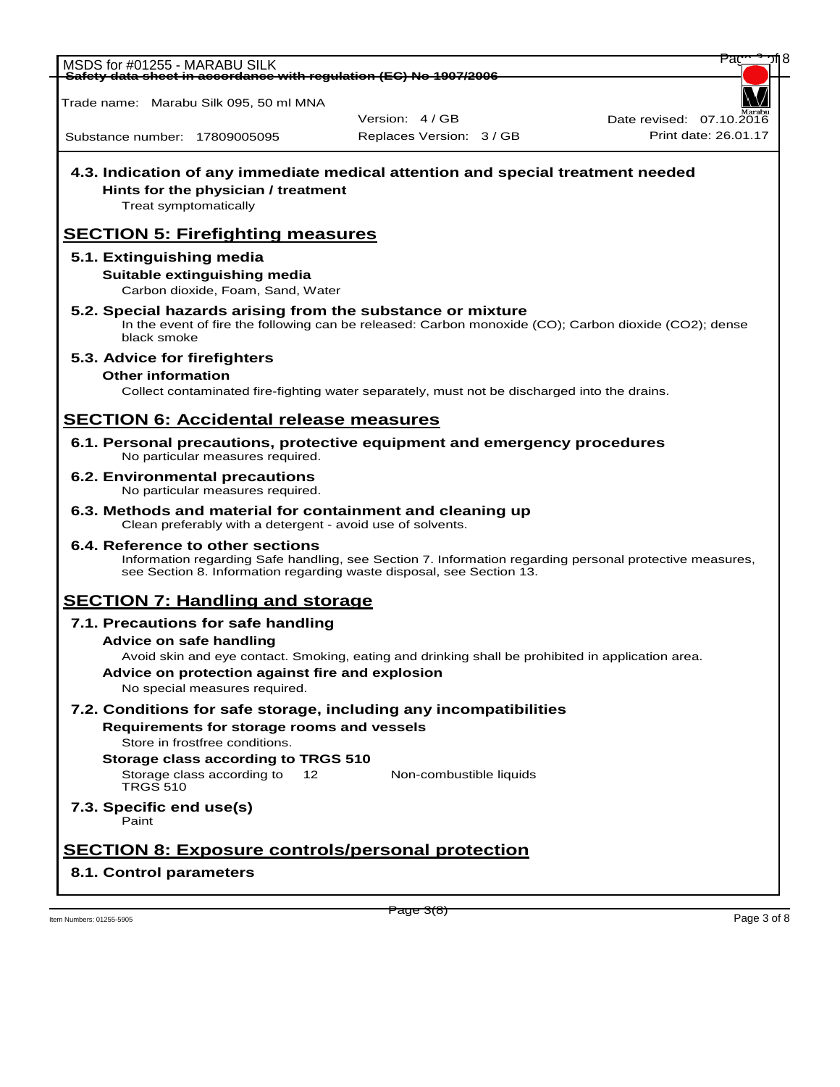<code>MSDS</code> for #01255 - MARABU SILK **Safety data sheet in accordance with regulation (EC) No 1907/2006**

Trade name: Marabu Silk 095, 50 ml MNA

**Hints for the physician / treatment**

Version: 4 / GB

**4.3. Indication of any immediate medical attention and special treatment needed**

Replaces Version: 3 / GB Print date: 26.01.17 Date revised:  $07.10.\overline{20}$ 

Substance number: 17809005095

## Treat symptomatically **SECTION 5: Firefighting measures 5.1. Extinguishing media Suitable extinguishing media** Carbon dioxide, Foam, Sand, Water **5.2. Special hazards arising from the substance or mixture** In the event of fire the following can be released: Carbon monoxide (CO); Carbon dioxide (CO2); dense black smoke **5.3. Advice for firefighters Other information** Collect contaminated fire-fighting water separately, must not be discharged into the drains. **SECTION 6: Accidental release measures 6.1. Personal precautions, protective equipment and emergency procedures** No particular measures required. **6.2. Environmental precautions** No particular measures required. **6.3. Methods and material for containment and cleaning up** Clean preferably with a detergent - avoid use of solvents. **6.4. Reference to other sections** Information regarding Safe handling, see Section 7. Information regarding personal protective measures, see Section 8. Information regarding waste disposal, see Section 13. **SECTION 7: Handling and storage 7.1. Precautions for safe handling Advice on safe handling** Avoid skin and eye contact. Smoking, eating and drinking shall be prohibited in application area. **Advice on protection against fire and explosion** No special measures required. **7.2. Conditions for safe storage, including any incompatibilities Requirements for storage rooms and vessels** Store in frostfree conditions. **Storage class according to TRGS 510** Storage class according to 12 TRGS 510 Non-combustible liquids **7.3. Specific end use(s)** Paint **SECTION 8: Exposure controls/personal protection 8.1. Control parameters**

Item Numbers: 01255-5905 Page 3 of 8

Page 3(8)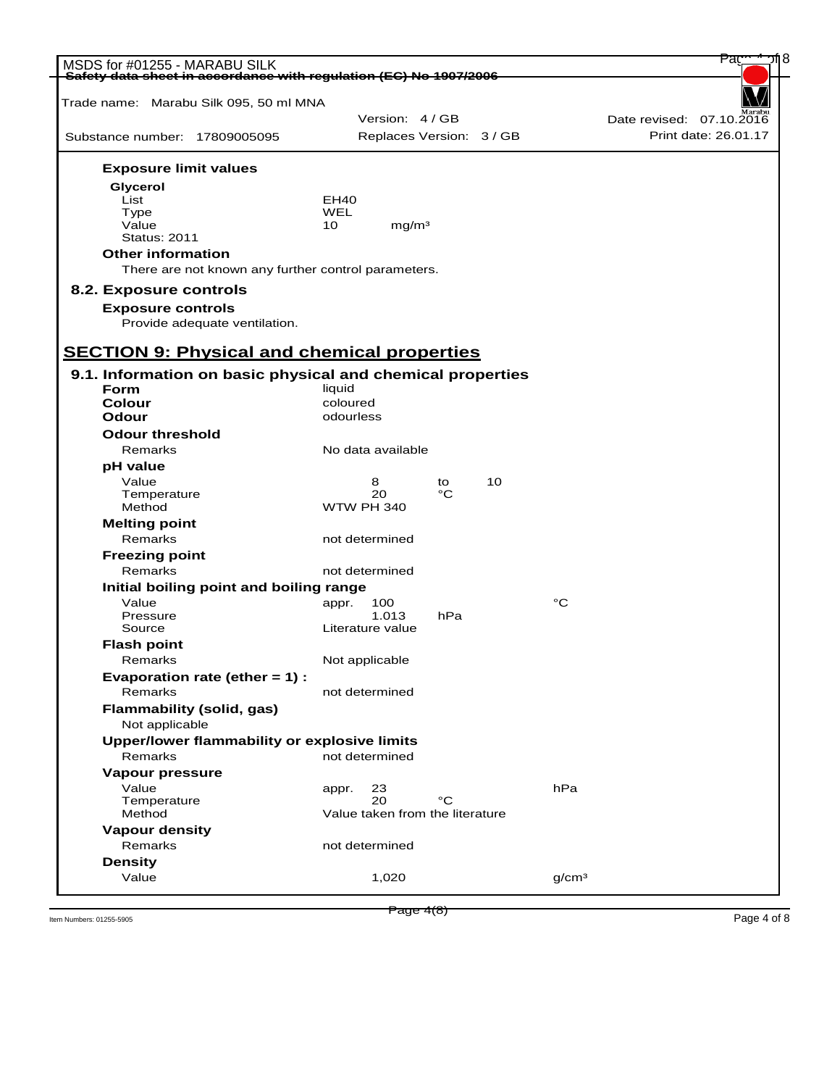| MSDS for #01255 - MARABU SILK<br>Safety data sheet in accordance with regulation (EC) No 1907/2006 |                                 | Paç                      |
|----------------------------------------------------------------------------------------------------|---------------------------------|--------------------------|
|                                                                                                    |                                 |                          |
| Trade name: Marabu Silk 095, 50 ml MNA                                                             | Version: 4 / GB                 | Date revised: 07.10.2016 |
| Substance number: 17809005095                                                                      | Replaces Version: 3 / GB        | Print date: 26.01.17     |
|                                                                                                    |                                 |                          |
| <b>Exposure limit values</b>                                                                       |                                 |                          |
| Glycerol                                                                                           |                                 |                          |
| List                                                                                               | EH <sub>40</sub><br>WEL         |                          |
| Type<br>Value                                                                                      | 10<br>mg/m <sup>3</sup>         |                          |
| <b>Status: 2011</b>                                                                                |                                 |                          |
| <b>Other information</b>                                                                           |                                 |                          |
| There are not known any further control parameters.                                                |                                 |                          |
| 8.2. Exposure controls                                                                             |                                 |                          |
| <b>Exposure controls</b>                                                                           |                                 |                          |
| Provide adequate ventilation.                                                                      |                                 |                          |
|                                                                                                    |                                 |                          |
| <b>SECTION 9: Physical and chemical properties</b>                                                 |                                 |                          |
| 9.1. Information on basic physical and chemical properties                                         |                                 |                          |
| Form                                                                                               | liquid                          |                          |
| Colour                                                                                             | coloured                        |                          |
| Odour                                                                                              | odourless                       |                          |
| <b>Odour threshold</b>                                                                             |                                 |                          |
| Remarks                                                                                            | No data available               |                          |
| pH value                                                                                           |                                 |                          |
| Value                                                                                              | 10<br>8<br>to                   |                          |
| Temperature                                                                                        | 20<br>°C                        |                          |
| Method                                                                                             | <b>WTW PH 340</b>               |                          |
| <b>Melting point</b>                                                                               |                                 |                          |
| Remarks                                                                                            | not determined                  |                          |
| <b>Freezing point</b>                                                                              |                                 |                          |
| Remarks                                                                                            | not determined                  |                          |
| Initial boiling point and boiling range                                                            |                                 |                          |
| Value                                                                                              | 100<br>appr.                    | °C                       |
| Pressure                                                                                           | 1.013<br>hPa                    |                          |
| Source                                                                                             | Literature value                |                          |
| <b>Flash point</b>                                                                                 |                                 |                          |
| Remarks                                                                                            | Not applicable                  |                          |
| Evaporation rate (ether = 1) :                                                                     |                                 |                          |
| Remarks                                                                                            | not determined                  |                          |
| <b>Flammability (solid, gas)</b><br>Not applicable                                                 |                                 |                          |
| Upper/lower flammability or explosive limits                                                       |                                 |                          |
| Remarks                                                                                            | not determined                  |                          |
| Vapour pressure                                                                                    |                                 |                          |
| Value                                                                                              | 23<br>appr.                     | hPa                      |
| Temperature                                                                                        | °C<br>20                        |                          |
| Method                                                                                             | Value taken from the literature |                          |
| <b>Vapour density</b>                                                                              |                                 |                          |
|                                                                                                    |                                 |                          |
| Remarks                                                                                            | not determined                  |                          |
| <b>Density</b>                                                                                     |                                 |                          |

 $P_3$   $P_4$   $(8)$   $P_5$   $(1255-5905)$   $P_6$   $(1255-5905)$   $P_7$   $(1255-5905)$   $P_8$   $(1255-5905)$   $P_8$   $(1255-5905)$   $P_9$   $(1255-5905)$   $P_9$   $(1255-5905)$   $P_9$   $(1255-5905)$   $P_9$   $(1255-5905)$   $P_9$   $(1255-5905)$   $P_$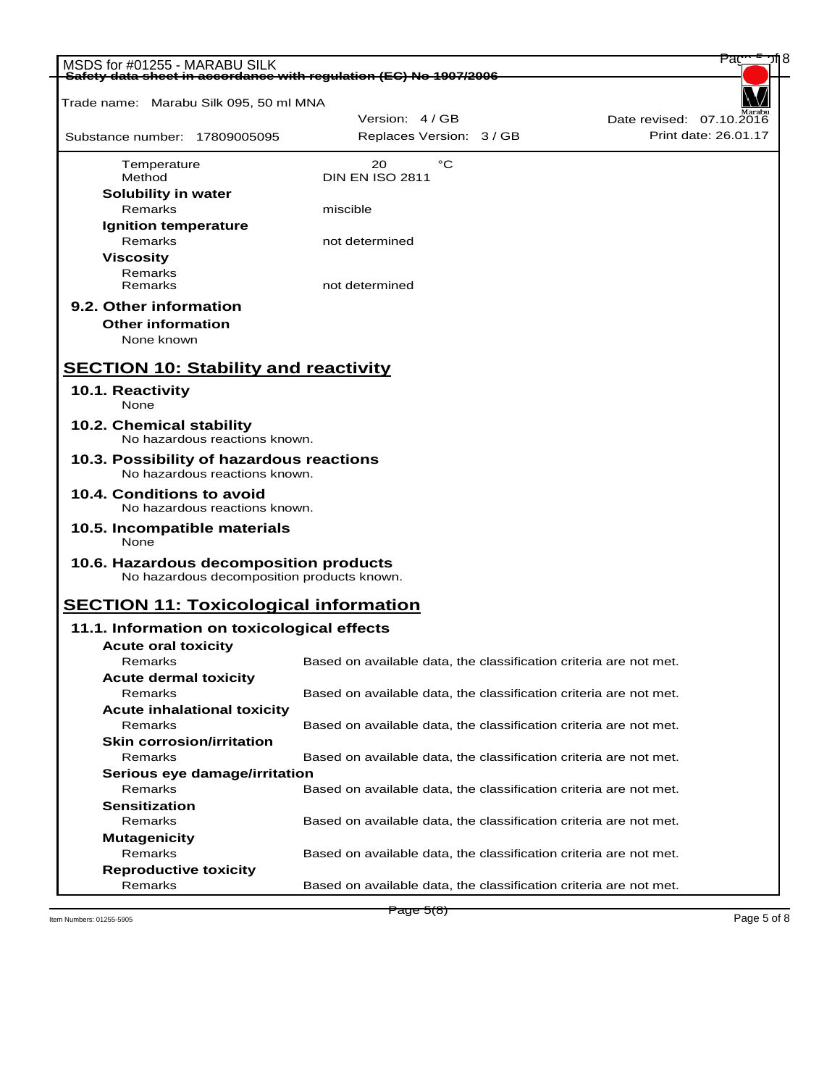| MSDS for #01255 - MARABU SILK<br>Safety data sheet in accordance with regulation (EC) No 1907/2006 |                                                                   | Pa                       |
|----------------------------------------------------------------------------------------------------|-------------------------------------------------------------------|--------------------------|
|                                                                                                    |                                                                   |                          |
| Trade name: Marabu Silk 095, 50 ml MNA                                                             |                                                                   |                          |
|                                                                                                    | Version: 4/GB                                                     | Date revised: 07.10.2016 |
| Substance number: 17809005095                                                                      | Replaces Version: 3 / GB                                          | Print date: 26.01.17     |
| Temperature<br>Method                                                                              | °C<br>20<br><b>DIN EN ISO 2811</b>                                |                          |
| Solubility in water                                                                                |                                                                   |                          |
| Remarks                                                                                            | miscible                                                          |                          |
| <b>Ignition temperature</b>                                                                        |                                                                   |                          |
| Remarks                                                                                            | not determined                                                    |                          |
| <b>Viscosity</b>                                                                                   |                                                                   |                          |
| Remarks                                                                                            |                                                                   |                          |
| Remarks                                                                                            | not determined                                                    |                          |
| 9.2. Other information                                                                             |                                                                   |                          |
| <b>Other information</b>                                                                           |                                                                   |                          |
| None known                                                                                         |                                                                   |                          |
| <b>SECTION 10: Stability and reactivity</b>                                                        |                                                                   |                          |
| 10.1. Reactivity                                                                                   |                                                                   |                          |
| None                                                                                               |                                                                   |                          |
| 10.2. Chemical stability<br>No hazardous reactions known.                                          |                                                                   |                          |
| 10.3. Possibility of hazardous reactions<br>No hazardous reactions known.                          |                                                                   |                          |
| 10.4. Conditions to avoid<br>No hazardous reactions known.                                         |                                                                   |                          |
| 10.5. Incompatible materials<br>None                                                               |                                                                   |                          |
|                                                                                                    |                                                                   |                          |
| 10.6. Hazardous decomposition products<br>No hazardous decomposition products known.               |                                                                   |                          |
| <b>SECTION 11: Toxicological information</b>                                                       |                                                                   |                          |
| 11.1. Information on toxicological effects                                                         |                                                                   |                          |
| <b>Acute oral toxicity</b>                                                                         |                                                                   |                          |
| Remarks                                                                                            | Based on available data, the classification criteria are not met. |                          |
| <b>Acute dermal toxicity</b>                                                                       |                                                                   |                          |
| Remarks                                                                                            | Based on available data, the classification criteria are not met. |                          |
| <b>Acute inhalational toxicity</b>                                                                 |                                                                   |                          |
| Remarks                                                                                            | Based on available data, the classification criteria are not met. |                          |
| <b>Skin corrosion/irritation</b>                                                                   |                                                                   |                          |
| Remarks                                                                                            | Based on available data, the classification criteria are not met. |                          |
| Serious eye damage/irritation                                                                      |                                                                   |                          |
| Remarks                                                                                            | Based on available data, the classification criteria are not met. |                          |
| <b>Sensitization</b>                                                                               |                                                                   |                          |
| Remarks                                                                                            | Based on available data, the classification criteria are not met. |                          |
| <b>Mutagenicity</b>                                                                                |                                                                   |                          |
| Remarks                                                                                            | Based on available data, the classification criteria are not met. |                          |
| <b>Reproductive toxicity</b>                                                                       |                                                                   |                          |
| Remarks                                                                                            | Based on available data, the classification criteria are not met. |                          |

Item Numbers: 01255-5905 Page 5 of 8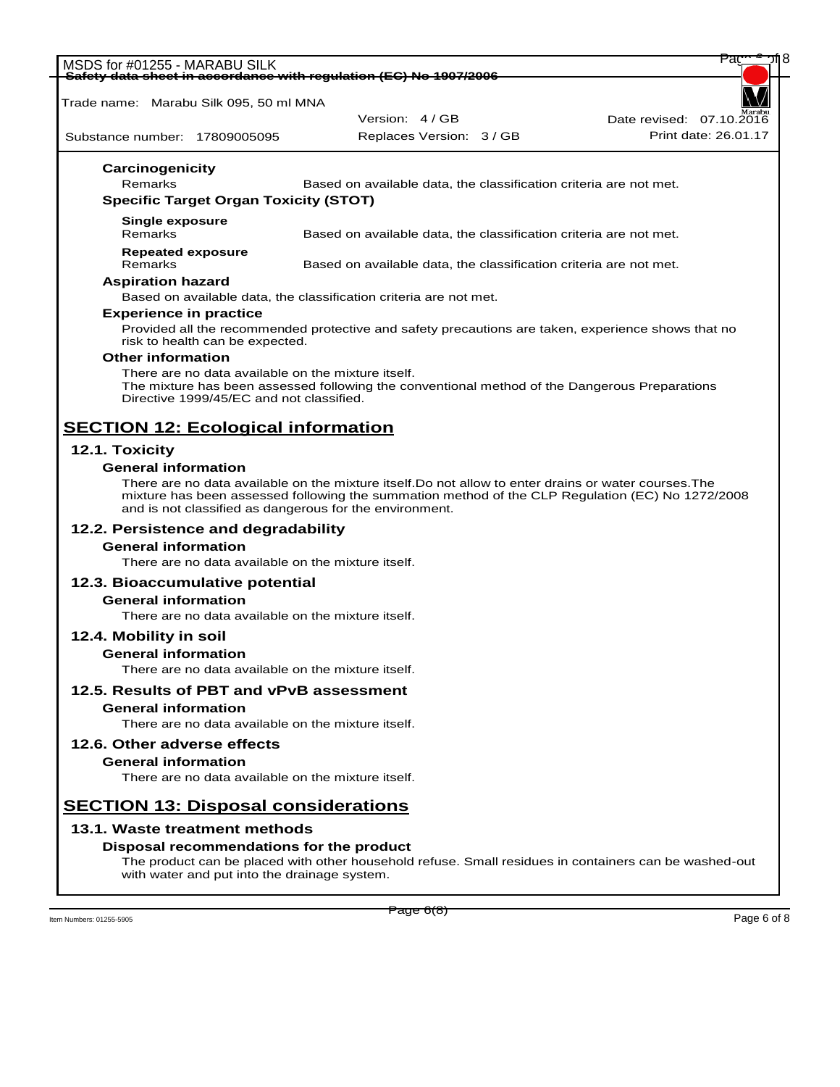| MSDS for #01255 - MARABU SILK                                                                  |                                                                                                       | Par                      |
|------------------------------------------------------------------------------------------------|-------------------------------------------------------------------------------------------------------|--------------------------|
| Safety data sheet in accordance with regulation (EC) No 1907/2006                              |                                                                                                       |                          |
| Trade name: Marabu Silk 095, 50 ml MNA                                                         |                                                                                                       |                          |
|                                                                                                | Version: 4 / GB                                                                                       | Date revised: 07.10.2016 |
| Substance number: 17809005095                                                                  | Replaces Version: 3 / GB                                                                              | Print date: 26.01.17     |
| <b>Carcinogenicity</b>                                                                         |                                                                                                       |                          |
| Remarks                                                                                        | Based on available data, the classification criteria are not met.                                     |                          |
| <b>Specific Target Organ Toxicity (STOT)</b>                                                   |                                                                                                       |                          |
| <b>Single exposure</b>                                                                         |                                                                                                       |                          |
| Remarks                                                                                        | Based on available data, the classification criteria are not met.                                     |                          |
| <b>Repeated exposure</b><br>Remarks                                                            |                                                                                                       |                          |
| <b>Aspiration hazard</b>                                                                       | Based on available data, the classification criteria are not met.                                     |                          |
|                                                                                                | Based on available data, the classification criteria are not met.                                     |                          |
| <b>Experience in practice</b>                                                                  |                                                                                                       |                          |
| risk to health can be expected.                                                                | Provided all the recommended protective and safety precautions are taken, experience shows that no    |                          |
| <b>Other information</b>                                                                       |                                                                                                       |                          |
| There are no data available on the mixture itself.<br>Directive 1999/45/EC and not classified. | The mixture has been assessed following the conventional method of the Dangerous Preparations         |                          |
| <b>SECTION 12: Ecological information</b>                                                      |                                                                                                       |                          |
| 12.1. Toxicity                                                                                 |                                                                                                       |                          |
| <b>General information</b>                                                                     |                                                                                                       |                          |
|                                                                                                | There are no data available on the mixture itself. Do not allow to enter drains or water courses. The |                          |
| and is not classified as dangerous for the environment.                                        | mixture has been assessed following the summation method of the CLP Regulation (EC) No 1272/2008      |                          |
| 12.2. Persistence and degradability                                                            |                                                                                                       |                          |
| <b>General information</b>                                                                     |                                                                                                       |                          |
| There are no data available on the mixture itself.                                             |                                                                                                       |                          |
| 12.3. Bioaccumulative potential                                                                |                                                                                                       |                          |
| <b>General information</b>                                                                     |                                                                                                       |                          |
| There are no data available on the mixture itself.                                             |                                                                                                       |                          |
| 12.4. Mobility in soil                                                                         |                                                                                                       |                          |
| <b>General information</b>                                                                     |                                                                                                       |                          |
| There are no data available on the mixture itself.                                             |                                                                                                       |                          |
| 12.5. Results of PBT and vPvB assessment                                                       |                                                                                                       |                          |
| <b>General information</b>                                                                     |                                                                                                       |                          |
| There are no data available on the mixture itself.                                             |                                                                                                       |                          |
| 12.6. Other adverse effects                                                                    |                                                                                                       |                          |
| <b>General information</b>                                                                     |                                                                                                       |                          |
| There are no data available on the mixture itself.                                             |                                                                                                       |                          |
| <b>SECTION 13: Disposal considerations</b>                                                     |                                                                                                       |                          |
| 13.1. Waste treatment methods                                                                  |                                                                                                       |                          |
| Disposal recommendations for the product                                                       |                                                                                                       |                          |
| with water and put into the drainage system.                                                   | The product can be placed with other household refuse. Small residues in containers can be washed-out |                          |
|                                                                                                | Page 6(8)                                                                                             |                          |
| Item Numbers: 01255-5905                                                                       |                                                                                                       | Page 6 of 8              |
|                                                                                                |                                                                                                       |                          |
|                                                                                                |                                                                                                       |                          |
|                                                                                                |                                                                                                       |                          |
|                                                                                                |                                                                                                       |                          |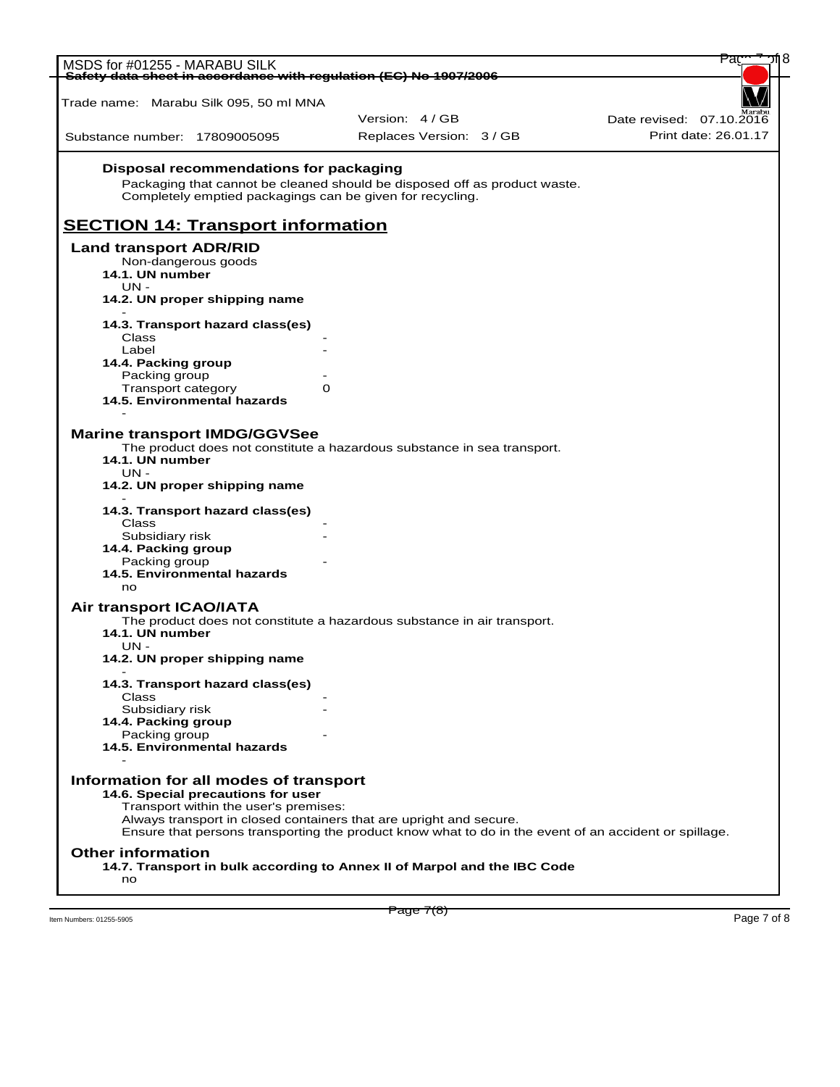| MSDS for #01255 - MARABU SILK                                     |                                                                           |                          |                                                                                                       |
|-------------------------------------------------------------------|---------------------------------------------------------------------------|--------------------------|-------------------------------------------------------------------------------------------------------|
| Safety data sheet in accordance with regulation (EC) No 1907/2006 |                                                                           |                          |                                                                                                       |
| Trade name: Marabu Silk 095, 50 ml MNA                            |                                                                           |                          |                                                                                                       |
|                                                                   |                                                                           | Version: 4 / GB          | Date revised: 07.10.2016                                                                              |
| Substance number: 17809005095                                     |                                                                           | Replaces Version: 3 / GB | Print date: 26.01.17                                                                                  |
|                                                                   | Disposal recommendations for packaging                                    |                          |                                                                                                       |
|                                                                   | Packaging that cannot be cleaned should be disposed off as product waste. |                          |                                                                                                       |
|                                                                   | Completely emptied packagings can be given for recycling.                 |                          |                                                                                                       |
| <b>SECTION 14: Transport information</b>                          |                                                                           |                          |                                                                                                       |
| <b>Land transport ADR/RID</b>                                     |                                                                           |                          |                                                                                                       |
| Non-dangerous goods                                               |                                                                           |                          |                                                                                                       |
| 14.1. UN number                                                   |                                                                           |                          |                                                                                                       |
| $UN -$                                                            |                                                                           |                          |                                                                                                       |
| 14.2. UN proper shipping name                                     |                                                                           |                          |                                                                                                       |
| 14.3. Transport hazard class(es)                                  |                                                                           |                          |                                                                                                       |
| Class                                                             |                                                                           |                          |                                                                                                       |
| Label<br>14.4. Packing group                                      |                                                                           |                          |                                                                                                       |
| Packing group                                                     |                                                                           |                          |                                                                                                       |
| Transport category                                                | 0                                                                         |                          |                                                                                                       |
| 14.5. Environmental hazards                                       |                                                                           |                          |                                                                                                       |
|                                                                   |                                                                           |                          |                                                                                                       |
| <b>Marine transport IMDG/GGVSee</b>                               | The product does not constitute a hazardous substance in sea transport.   |                          |                                                                                                       |
| 14.1. UN number                                                   |                                                                           |                          |                                                                                                       |
| UN -                                                              |                                                                           |                          |                                                                                                       |
| 14.2. UN proper shipping name                                     |                                                                           |                          |                                                                                                       |
| 14.3. Transport hazard class(es)                                  |                                                                           |                          |                                                                                                       |
| Class                                                             |                                                                           |                          |                                                                                                       |
| Subsidiary risk                                                   |                                                                           |                          |                                                                                                       |
| 14.4. Packing group<br>Packing group                              |                                                                           |                          |                                                                                                       |
| 14.5. Environmental hazards                                       |                                                                           |                          |                                                                                                       |
| no                                                                |                                                                           |                          |                                                                                                       |
| Air transport ICAO/IATA                                           |                                                                           |                          |                                                                                                       |
|                                                                   | The product does not constitute a hazardous substance in air transport.   |                          |                                                                                                       |
| 14.1. UN number                                                   |                                                                           |                          |                                                                                                       |
| UN -<br>14.2. UN proper shipping name                             |                                                                           |                          |                                                                                                       |
|                                                                   |                                                                           |                          |                                                                                                       |
| 14.3. Transport hazard class(es)<br>Class                         |                                                                           |                          |                                                                                                       |
| Subsidiary risk                                                   |                                                                           |                          |                                                                                                       |
| 14.4. Packing group                                               |                                                                           |                          |                                                                                                       |
| Packing group                                                     |                                                                           |                          |                                                                                                       |
| 14.5. Environmental hazards                                       |                                                                           |                          |                                                                                                       |
|                                                                   |                                                                           |                          |                                                                                                       |
| Information for all modes of transport                            | 14.6. Special precautions for user                                        |                          |                                                                                                       |
|                                                                   | Transport within the user's premises:                                     |                          |                                                                                                       |
|                                                                   | Always transport in closed containers that are upright and secure.        |                          |                                                                                                       |
|                                                                   |                                                                           |                          | Ensure that persons transporting the product know what to do in the event of an accident or spillage. |
| <b>Other information</b>                                          |                                                                           |                          |                                                                                                       |
|                                                                   | 14.7. Transport in bulk according to Annex II of Marpol and the IBC Code  |                          |                                                                                                       |
| no                                                                |                                                                           |                          |                                                                                                       |